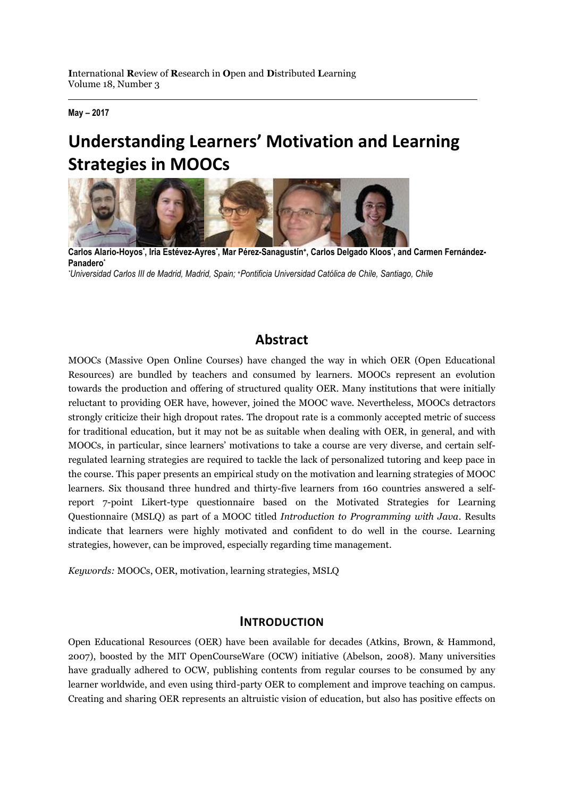**May – 2017**

# **Understanding Learners' Motivation and Learning Strategies in MOOCs**



**Carlos Alario-Hoyos\* , Iria Estévez-Ayres\* , Mar Pérez-Sanagustín<sup>+</sup> , Carlos Delgado Kloos\* , and Carmen Fernández-Panadero\***

*\*Universidad Carlos III de Madrid, Madrid, Spain; +Pontificia Universidad Católica de Chile, Santiago, Chile*

### **Abstract**

MOOCs (Massive Open Online Courses) have changed the way in which OER (Open Educational Resources) are bundled by teachers and consumed by learners. MOOCs represent an evolution towards the production and offering of structured quality OER. Many institutions that were initially reluctant to providing OER have, however, joined the MOOC wave. Nevertheless, MOOCs detractors strongly criticize their high dropout rates. The dropout rate is a commonly accepted metric of success for traditional education, but it may not be as suitable when dealing with OER, in general, and with MOOCs, in particular, since learners' motivations to take a course are very diverse, and certain selfregulated learning strategies are required to tackle the lack of personalized tutoring and keep pace in the course. This paper presents an empirical study on the motivation and learning strategies of MOOC learners. Six thousand three hundred and thirty-five learners from 160 countries answered a selfreport 7-point Likert-type questionnaire based on the Motivated Strategies for Learning Questionnaire (MSLQ) as part of a MOOC titled *Introduction to Programming with Java*. Results indicate that learners were highly motivated and confident to do well in the course. Learning strategies, however, can be improved, especially regarding time management.

*Keywords:* MOOCs, OER, motivation, learning strategies, MSLQ

#### **INTRODUCTION**

Open Educational Resources (OER) have been available for decades (Atkins, Brown, & Hammond, 2007), boosted by the MIT OpenCourseWare (OCW) initiative (Abelson, 2008). Many universities have gradually adhered to OCW, publishing contents from regular courses to be consumed by any learner worldwide, and even using third-party OER to complement and improve teaching on campus. Creating and sharing OER represents an altruistic vision of education, but also has positive effects on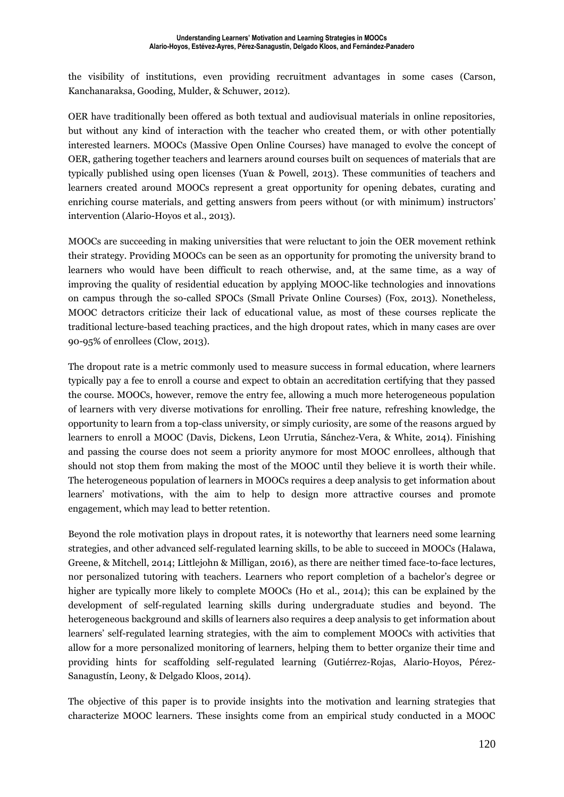the visibility of institutions, even providing recruitment advantages in some cases (Carson, Kanchanaraksa, Gooding, Mulder, & Schuwer, 2012).

OER have traditionally been offered as both textual and audiovisual materials in online repositories, but without any kind of interaction with the teacher who created them, or with other potentially interested learners. MOOCs (Massive Open Online Courses) have managed to evolve the concept of OER, gathering together teachers and learners around courses built on sequences of materials that are typically published using open licenses (Yuan & Powell, 2013). These communities of teachers and learners created around MOOCs represent a great opportunity for opening debates, curating and enriching course materials, and getting answers from peers without (or with minimum) instructors' intervention (Alario-Hoyos et al., 2013).

MOOCs are succeeding in making universities that were reluctant to join the OER movement rethink their strategy. Providing MOOCs can be seen as an opportunity for promoting the university brand to learners who would have been difficult to reach otherwise, and, at the same time, as a way of improving the quality of residential education by applying MOOC-like technologies and innovations on campus through the so-called SPOCs (Small Private Online Courses) (Fox, 2013). Nonetheless, MOOC detractors criticize their lack of educational value, as most of these courses replicate the traditional lecture-based teaching practices, and the high dropout rates, which in many cases are over 90-95% of enrollees (Clow, 2013).

The dropout rate is a metric commonly used to measure success in formal education, where learners typically pay a fee to enroll a course and expect to obtain an accreditation certifying that they passed the course. MOOCs, however, remove the entry fee, allowing a much more heterogeneous population of learners with very diverse motivations for enrolling. Their free nature, refreshing knowledge, the opportunity to learn from a top-class university, or simply curiosity, are some of the reasons argued by learners to enroll a MOOC (Davis, Dickens, Leon Urrutia, Sánchez-Vera, & White, 2014). Finishing and passing the course does not seem a priority anymore for most MOOC enrollees, although that should not stop them from making the most of the MOOC until they believe it is worth their while. The heterogeneous population of learners in MOOCs requires a deep analysis to get information about learners' motivations, with the aim to help to design more attractive courses and promote engagement, which may lead to better retention.

Beyond the role motivation plays in dropout rates, it is noteworthy that learners need some learning strategies, and other advanced self-regulated learning skills, to be able to succeed in MOOCs (Halawa, Greene, & Mitchell, 2014; Littlejohn & Milligan, 2016), as there are neither timed face-to-face lectures, nor personalized tutoring with teachers. Learners who report completion of a bachelor's degree or higher are typically more likely to complete MOOCs (Ho et al., 2014); this can be explained by the development of self-regulated learning skills during undergraduate studies and beyond. The heterogeneous background and skills of learners also requires a deep analysis to get information about learners' self-regulated learning strategies, with the aim to complement MOOCs with activities that allow for a more personalized monitoring of learners, helping them to better organize their time and providing hints for scaffolding self-regulated learning (Gutiérrez-Rojas, Alario-Hoyos, Pérez-Sanagustín, Leony, & Delgado Kloos, 2014).

The objective of this paper is to provide insights into the motivation and learning strategies that characterize MOOC learners. These insights come from an empirical study conducted in a MOOC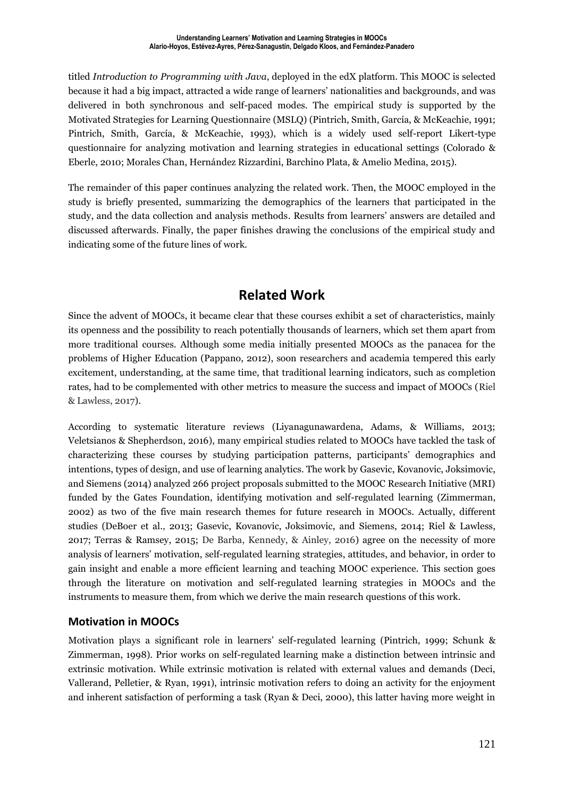titled *Introduction to Programming with Java*, deployed in the edX platform. This MOOC is selected because it had a big impact, attracted a wide range of learners' nationalities and backgrounds, and was delivered in both synchronous and self-paced modes. The empirical study is supported by the Motivated Strategies for Learning Questionnaire (MSLQ) (Pintrich, Smith, García, & McKeachie, 1991; Pintrich, Smith, García, & McKeachie, 1993), which is a widely used self-report Likert-type questionnaire for analyzing motivation and learning strategies in educational settings (Colorado & Eberle, 2010; Morales Chan, Hernández Rizzardini, Barchino Plata, & Amelio Medina, 2015).

The remainder of this paper continues analyzing the related work. Then, the MOOC employed in the study is briefly presented, summarizing the demographics of the learners that participated in the study, and the data collection and analysis methods. Results from learners' answers are detailed and discussed afterwards. Finally, the paper finishes drawing the conclusions of the empirical study and indicating some of the future lines of work.

# **Related Work**

Since the advent of MOOCs, it became clear that these courses exhibit a set of characteristics, mainly its openness and the possibility to reach potentially thousands of learners, which set them apart from more traditional courses. Although some media initially presented MOOCs as the panacea for the problems of Higher Education (Pappano, 2012), soon researchers and academia tempered this early excitement, understanding, at the same time, that traditional learning indicators, such as completion rates, had to be complemented with other metrics to measure the success and impact of MOOCs (Riel & Lawless, 2017).

According to systematic literature reviews (Liyanagunawardena, Adams, & Williams, 2013; Veletsianos & Shepherdson, 2016), many empirical studies related to MOOCs have tackled the task of characterizing these courses by studying participation patterns, participants' demographics and intentions, types of design, and use of learning analytics. The work by Gasevic, Kovanovic, Joksimovic, and Siemens (2014) analyzed 266 project proposals submitted to the MOOC Research Initiative (MRI) funded by the Gates Foundation, identifying motivation and self-regulated learning (Zimmerman, 2002) as two of the five main research themes for future research in MOOCs. Actually, different studies (DeBoer et al., 2013; Gasevic, Kovanovic, Joksimovic, and Siemens, 2014; Riel & Lawless, 2017; Terras & Ramsey, 2015; De Barba, Kennedy, & Ainley, 2016) agree on the necessity of more analysis of learners' motivation, self-regulated learning strategies, attitudes, and behavior, in order to gain insight and enable a more efficient learning and teaching MOOC experience. This section goes through the literature on motivation and self-regulated learning strategies in MOOCs and the instruments to measure them, from which we derive the main research questions of this work.

#### **Motivation in MOOCs**

Motivation plays a significant role in learners' self-regulated learning (Pintrich, 1999; Schunk & Zimmerman, 1998). Prior works on self-regulated learning make a distinction between intrinsic and extrinsic motivation. While extrinsic motivation is related with external values and demands (Deci, Vallerand, Pelletier, & Ryan, 1991), intrinsic motivation refers to doing an activity for the enjoyment and inherent satisfaction of performing a task (Ryan & Deci, 2000), this latter having more weight in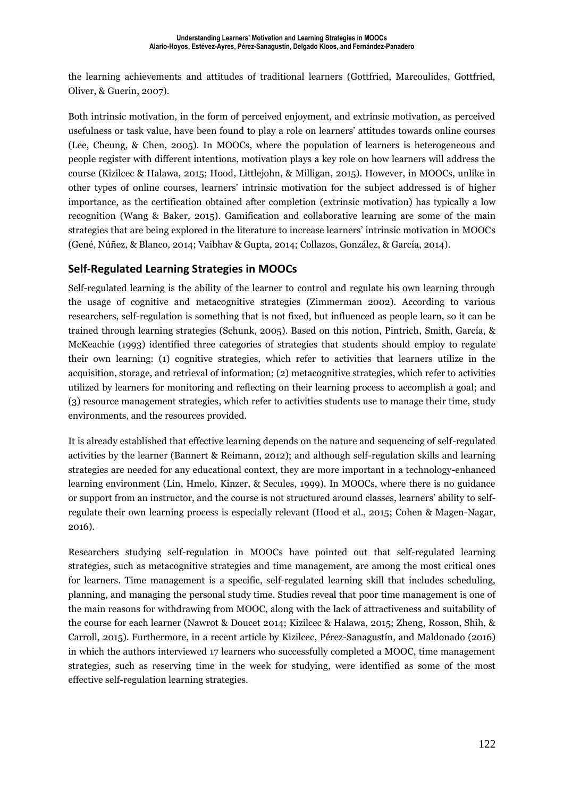the learning achievements and attitudes of traditional learners (Gottfried, Marcoulides, Gottfried, Oliver, & Guerin, 2007).

Both intrinsic motivation, in the form of perceived enjoyment, and extrinsic motivation, as perceived usefulness or task value, have been found to play a role on learners' attitudes towards online courses (Lee, Cheung, & Chen, 2005). In MOOCs, where the population of learners is heterogeneous and people register with different intentions, motivation plays a key role on how learners will address the course (Kizilcec & Halawa, 2015; Hood, Littlejohn, & Milligan, 2015). However, in MOOCs, unlike in other types of online courses, learners' intrinsic motivation for the subject addressed is of higher importance, as the certification obtained after completion (extrinsic motivation) has typically a low recognition (Wang & Baker, 2015). Gamification and collaborative learning are some of the main strategies that are being explored in the literature to increase learners' intrinsic motivation in MOOCs (Gené, Núñez, & Blanco, 2014; Vaibhav & Gupta, 2014; Collazos, González, & García, 2014).

#### **Self-Regulated Learning Strategies in MOOCs**

Self-regulated learning is the ability of the learner to control and regulate his own learning through the usage of cognitive and metacognitive strategies (Zimmerman 2002). According to various researchers, self-regulation is something that is not fixed, but influenced as people learn, so it can be trained through learning strategies (Schunk, 2005). Based on this notion, Pintrich, Smith, García, & McKeachie (1993) identified three categories of strategies that students should employ to regulate their own learning: (1) cognitive strategies, which refer to activities that learners utilize in the acquisition, storage, and retrieval of information; (2) metacognitive strategies, which refer to activities utilized by learners for monitoring and reflecting on their learning process to accomplish a goal; and (3) resource management strategies, which refer to activities students use to manage their time, study environments, and the resources provided.

It is already established that effective learning depends on the nature and sequencing of self-regulated activities by the learner (Bannert & Reimann, 2012); and although self-regulation skills and learning strategies are needed for any educational context, they are more important in a technology-enhanced learning environment (Lin, Hmelo, Kinzer, & Secules, 1999). In MOOCs, where there is no guidance or support from an instructor, and the course is not structured around classes, learners' ability to selfregulate their own learning process is especially relevant (Hood et al., 2015; Cohen & Magen-Nagar, 2016).

Researchers studying self-regulation in MOOCs have pointed out that self-regulated learning strategies, such as metacognitive strategies and time management, are among the most critical ones for learners. Time management is a specific, self-regulated learning skill that includes scheduling, planning, and managing the personal study time. Studies reveal that poor time management is one of the main reasons for withdrawing from MOOC, along with the lack of attractiveness and suitability of the course for each learner (Nawrot & Doucet 2014; Kizilcec & Halawa, 2015; Zheng, Rosson, Shih, & Carroll, 2015). Furthermore, in a recent article by Kizilcec, Pérez-Sanagustín, and Maldonado (2016) in which the authors interviewed 17 learners who successfully completed a MOOC, time management strategies, such as reserving time in the week for studying, were identified as some of the most effective self-regulation learning strategies.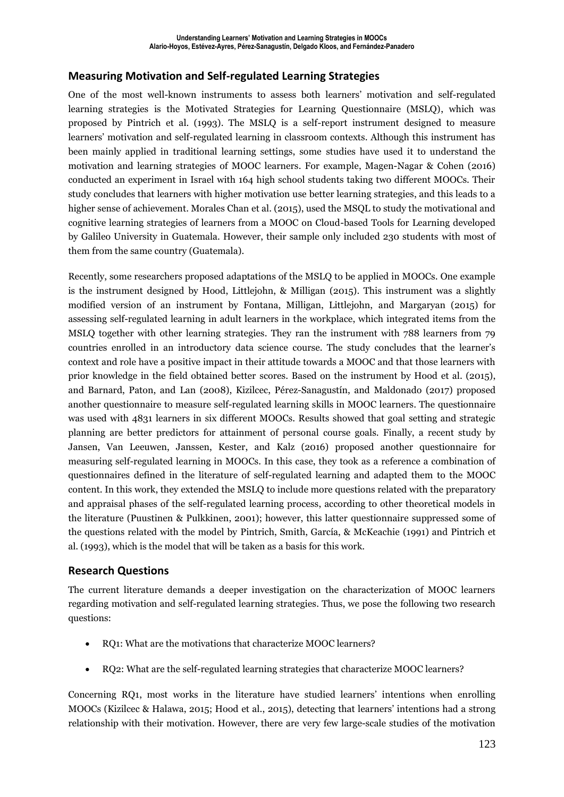#### **Measuring Motivation and Self-regulated Learning Strategies**

One of the most well-known instruments to assess both learners' motivation and self-regulated learning strategies is the Motivated Strategies for Learning Questionnaire (MSLQ), which was proposed by Pintrich et al. (1993). The MSLQ is a self-report instrument designed to measure learners' motivation and self-regulated learning in classroom contexts. Although this instrument has been mainly applied in traditional learning settings, some studies have used it to understand the motivation and learning strategies of MOOC learners. For example, Magen-Nagar & Cohen (2016) conducted an experiment in Israel with 164 high school students taking two different MOOCs. Their study concludes that learners with higher motivation use better learning strategies, and this leads to a higher sense of achievement. Morales Chan et al. (2015), used the MSQL to study the motivational and cognitive learning strategies of learners from a MOOC on Cloud-based Tools for Learning developed by Galileo University in Guatemala. However, their sample only included 230 students with most of them from the same country (Guatemala).

Recently, some researchers proposed adaptations of the MSLQ to be applied in MOOCs. One example is the instrument designed by Hood, Littlejohn, & Milligan (2015). This instrument was a slightly modified version of an instrument by Fontana, Milligan, Littlejohn, and Margaryan (2015) for assessing self-regulated learning in adult learners in the workplace, which integrated items from the MSLQ together with other learning strategies. They ran the instrument with 788 learners from 79 countries enrolled in an introductory data science course. The study concludes that the learner's context and role have a positive impact in their attitude towards a MOOC and that those learners with prior knowledge in the field obtained better scores. Based on the instrument by Hood et al. (2015), and Barnard, Paton, and Lan (2008), Kizilcec, Pérez-Sanagustín, and Maldonado (2017) proposed another questionnaire to measure self-regulated learning skills in MOOC learners. The questionnaire was used with 4831 learners in six different MOOCs. Results showed that goal setting and strategic planning are better predictors for attainment of personal course goals. Finally, a recent study by Jansen, Van Leeuwen, Janssen, Kester, and Kalz (2016) proposed another questionnaire for measuring self-regulated learning in MOOCs. In this case, they took as a reference a combination of questionnaires defined in the literature of self-regulated learning and adapted them to the MOOC content. In this work, they extended the MSLQ to include more questions related with the preparatory and appraisal phases of the self-regulated learning process, according to other theoretical models in the literature (Puustinen & Pulkkinen, 2001); however, this latter questionnaire suppressed some of the questions related with the model by Pintrich, Smith, García, & McKeachie (1991) and Pintrich et al. (1993), which is the model that will be taken as a basis for this work.

#### **Research Questions**

The current literature demands a deeper investigation on the characterization of MOOC learners regarding motivation and self-regulated learning strategies. Thus, we pose the following two research questions:

- RQ1: What are the motivations that characterize MOOC learners?
- RQ2: What are the self-regulated learning strategies that characterize MOOC learners?

Concerning RQ1, most works in the literature have studied learners' intentions when enrolling MOOCs (Kizilcec & Halawa, 2015; Hood et al., 2015), detecting that learners' intentions had a strong relationship with their motivation. However, there are very few large-scale studies of the motivation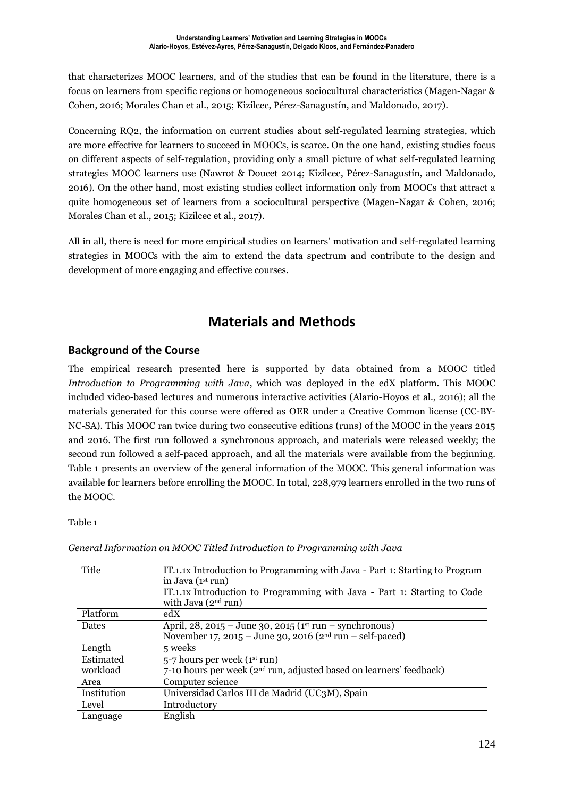that characterizes MOOC learners, and of the studies that can be found in the literature, there is a focus on learners from specific regions or homogeneous sociocultural characteristics (Magen-Nagar & Cohen, 2016; Morales Chan et al., 2015; Kizilcec, Pérez-Sanagustín, and Maldonado, 2017).

Concerning RQ2, the information on current studies about self-regulated learning strategies, which are more effective for learners to succeed in MOOCs, is scarce. On the one hand, existing studies focus on different aspects of self-regulation, providing only a small picture of what self-regulated learning strategies MOOC learners use (Nawrot & Doucet 2014; Kizilcec, Pérez-Sanagustín, and Maldonado, 2016). On the other hand, most existing studies collect information only from MOOCs that attract a quite homogeneous set of learners from a sociocultural perspective (Magen-Nagar & Cohen, 2016; Morales Chan et al., 2015; Kizilcec et al., 2017).

All in all, there is need for more empirical studies on learners' motivation and self-regulated learning strategies in MOOCs with the aim to extend the data spectrum and contribute to the design and development of more engaging and effective courses.

# **Materials and Methods**

#### **Background of the Course**

The empirical research presented here is supported by data obtained from a MOOC titled *Introduction to Programming with Java*, which was deployed in the edX platform. This MOOC included video-based lectures and numerous interactive activities (Alario-Hoyos et al., 2016); all the materials generated for this course were offered as OER under a Creative Common license (CC-BY-NC-SA). This MOOC ran twice during two consecutive editions (runs) of the MOOC in the years 2015 and 2016. The first run followed a synchronous approach, and materials were released weekly; the second run followed a self-paced approach, and all the materials were available from the beginning. Table 1 presents an overview of the general information of the MOOC. This general information was available for learners before enrolling the MOOC. In total, 228,979 learners enrolled in the two runs of the MOOC.

#### Table 1

| Title       | IT.1.1x Introduction to Programming with Java - Part 1: Starting to Program     |
|-------------|---------------------------------------------------------------------------------|
|             | in Java $(1st run)$                                                             |
|             | IT.1.1x Introduction to Programming with Java - Part 1: Starting to Code        |
|             | with Java $(2nd run)$                                                           |
| Platform    | edX                                                                             |
| Dates       | April, 28, 2015 – June 30, 2015 ( $1st$ run – synchronous)                      |
|             | November 17, 2015 – June 30, 2016 ( $2nd$ run – self-paced)                     |
| Length      | 5 weeks                                                                         |
| Estimated   | 5-7 hours per week (1st run)                                                    |
| workload    | 7-10 hours per week (2 <sup>nd</sup> run, adjusted based on learners' feedback) |
| Area        | Computer science                                                                |
| Institution | Universidad Carlos III de Madrid (UC3M), Spain                                  |
| Level       | Introductory                                                                    |
| Language    | English                                                                         |

*General Information on MOOC Titled Introduction to Programming with Java*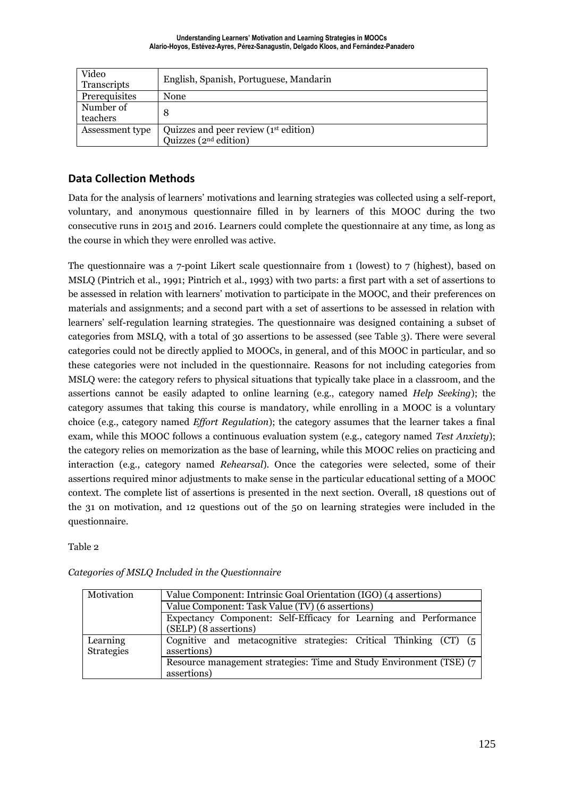| Video<br>Transcripts  | English, Spanish, Portuguese, Mandarin                            |
|-----------------------|-------------------------------------------------------------------|
| Prerequisites         | None                                                              |
| Number of<br>teachers | 8                                                                 |
| Assessment type       | Quizzes and peer review (1st edition)<br>Quizzes ( $2nd$ edition) |

#### **Data Collection Methods**

Data for the analysis of learners' motivations and learning strategies was collected using a self-report, voluntary, and anonymous questionnaire filled in by learners of this MOOC during the two consecutive runs in 2015 and 2016. Learners could complete the questionnaire at any time, as long as the course in which they were enrolled was active.

The questionnaire was a 7-point Likert scale questionnaire from 1 (lowest) to 7 (highest), based on MSLQ (Pintrich et al., 1991; Pintrich et al., 1993) with two parts: a first part with a set of assertions to be assessed in relation with learners' motivation to participate in the MOOC, and their preferences on materials and assignments; and a second part with a set of assertions to be assessed in relation with learners' self-regulation learning strategies. The questionnaire was designed containing a subset of categories from MSLQ, with a total of 30 assertions to be assessed (see Table 3). There were several categories could not be directly applied to MOOCs, in general, and of this MOOC in particular, and so these categories were not included in the questionnaire. Reasons for not including categories from MSLQ were: the category refers to physical situations that typically take place in a classroom, and the assertions cannot be easily adapted to online learning (e.g., category named *Help Seeking*); the category assumes that taking this course is mandatory, while enrolling in a MOOC is a voluntary choice (e.g., category named *Effort Regulation*); the category assumes that the learner takes a final exam, while this MOOC follows a continuous evaluation system (e.g., category named *Test Anxiety*); the category relies on memorization as the base of learning, while this MOOC relies on practicing and interaction (e.g., category named *Rehearsal*). Once the categories were selected, some of their assertions required minor adjustments to make sense in the particular educational setting of a MOOC context. The complete list of assertions is presented in the next section. Overall, 18 questions out of the 31 on motivation, and 12 questions out of the 50 on learning strategies were included in the questionnaire.

Table 2

| Motivation                    | Value Component: Intrinsic Goal Orientation (IGO) (4 assertions)                          |  |  |  |  |  |  |  |  |  |
|-------------------------------|-------------------------------------------------------------------------------------------|--|--|--|--|--|--|--|--|--|
|                               | Value Component: Task Value (TV) (6 assertions)                                           |  |  |  |  |  |  |  |  |  |
|                               | Expectancy Component: Self-Efficacy for Learning and Performance<br>(SELP) (8 assertions) |  |  |  |  |  |  |  |  |  |
| Learning<br><b>Strategies</b> | Cognitive and metacognitive strategies: Critical Thinking (CT) (5<br>assertions)          |  |  |  |  |  |  |  |  |  |
|                               | Resource management strategies: Time and Study Environment (TSE) (7<br>assertions)        |  |  |  |  |  |  |  |  |  |

*Categories of MSLQ Included in the Questionnaire*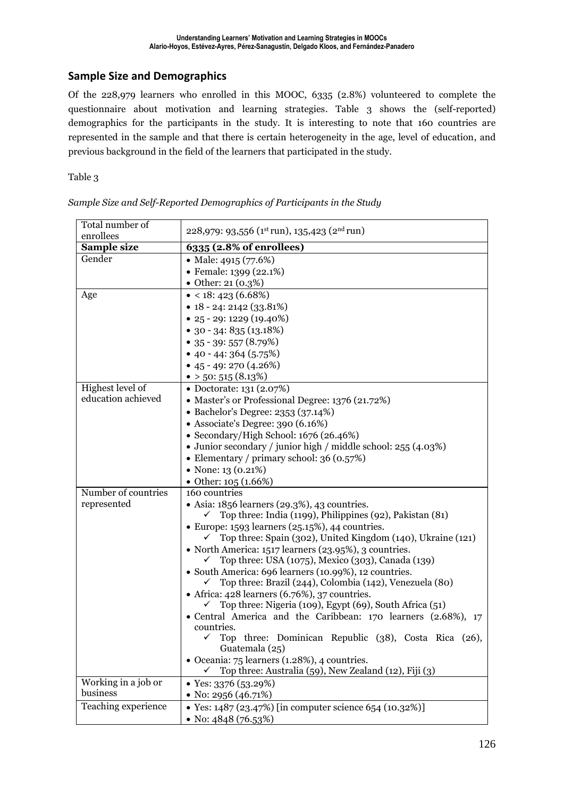#### **Sample Size and Demographics**

Of the 228,979 learners who enrolled in this MOOC, 6335 (2.8%) volunteered to complete the questionnaire about motivation and learning strategies. Table 3 shows the (self-reported) demographics for the participants in the study. It is interesting to note that 160 countries are represented in the sample and that there is certain heterogeneity in the age, level of education, and previous background in the field of the learners that participated in the study.

Table 3

| Total number of<br>enrollees           | 228,979: 93,556 (1st run), 135,423 (2nd run)                                                                                                                                                                                                                                                                                                                                                                                                                                                                                                                                                                                                                                                                                                                                                                                                                                               |
|----------------------------------------|--------------------------------------------------------------------------------------------------------------------------------------------------------------------------------------------------------------------------------------------------------------------------------------------------------------------------------------------------------------------------------------------------------------------------------------------------------------------------------------------------------------------------------------------------------------------------------------------------------------------------------------------------------------------------------------------------------------------------------------------------------------------------------------------------------------------------------------------------------------------------------------------|
| Sample size                            | 6335 (2.8% of enrollees)                                                                                                                                                                                                                                                                                                                                                                                                                                                                                                                                                                                                                                                                                                                                                                                                                                                                   |
| Gender                                 | • Male: $4915 (77.6%)$<br>• Female: 1399 (22.1%)<br>• Other: $21(0.3%)$                                                                                                                                                                                                                                                                                                                                                                                                                                                                                                                                                                                                                                                                                                                                                                                                                    |
| Age                                    | $\bullet$ < 18: 423 (6.68%)<br>$\bullet$ 18 - 24: 2142 (33.81%)<br>$\bullet$ 25 - 29: 1229 (19.40%)<br>$\bullet$ 30 - 34: 835 (13.18%)<br>• 35 - 39: 557 $(8.79%)$<br>• 40 - 44: 364 $(5.75%)$<br>• $45 - 49$ : 270 $(4.26%)$<br>$\bullet$ > 50: 515 (8.13%)                                                                                                                                                                                                                                                                                                                                                                                                                                                                                                                                                                                                                               |
| Highest level of<br>education achieved | • Doctorate: 131 (2.07%)<br>• Master's or Professional Degree: 1376 (21.72%)<br>• Bachelor's Degree: 2353 (37.14%)<br>• Associate's Degree: 390 (6.16%)<br>• Secondary/High School: 1676 (26.46%)<br>• Junior secondary / junior high / middle school: 255 (4.03%)<br>• Elementary / primary school: $36(0.57%)$<br>• None: $13(0.21\%)$<br>• Other: $105(1.66%)$                                                                                                                                                                                                                                                                                                                                                                                                                                                                                                                          |
| Number of countries<br>represented     | 160 countries<br>• Asia: $1856$ learners $(29.3\%)$ , $43$ countries.<br>Top three: India (1199), Philippines (92), Pakistan (81)<br>✓<br>$\bullet$ Europe: 1593 learners (25.15%), 44 countries.<br>Top three: Spain (302), United Kingdom (140), Ukraine (121)<br>✓<br>• North America: 1517 learners (23.95%), 3 countries.<br>Top three: USA (1075), Mexico (303), Canada (139)<br>· South America: 696 learners (10.99%), 12 countries.<br>Top three: Brazil (244), Colombia (142), Venezuela (80)<br>• Africa: 428 learners (6.76%), 37 countries.<br>Top three: Nigeria (109), Egypt (69), South Africa (51)<br>• Central America and the Caribbean: 170 learners (2.68%), 17<br>countries.<br>Top three: Dominican Republic (38), Costa Rica (26),<br>✓<br>Guatemala (25)<br>• Oceania: 75 learners (1.28%), 4 countries.<br>Top three: Australia (59), New Zealand (12), Fiji (3) |
| Working in a job or<br>business        | • Yes: $3376(53.29%)$<br>• No: 2956 $(46.71%)$                                                                                                                                                                                                                                                                                                                                                                                                                                                                                                                                                                                                                                                                                                                                                                                                                                             |
| Teaching experience                    | • Yes: 1487 (23.47%) [in computer science 654 (10.32%)]<br>• No: $4848(76.53%)$                                                                                                                                                                                                                                                                                                                                                                                                                                                                                                                                                                                                                                                                                                                                                                                                            |

*Sample Size and Self-Reported Demographics of Participants in the Study*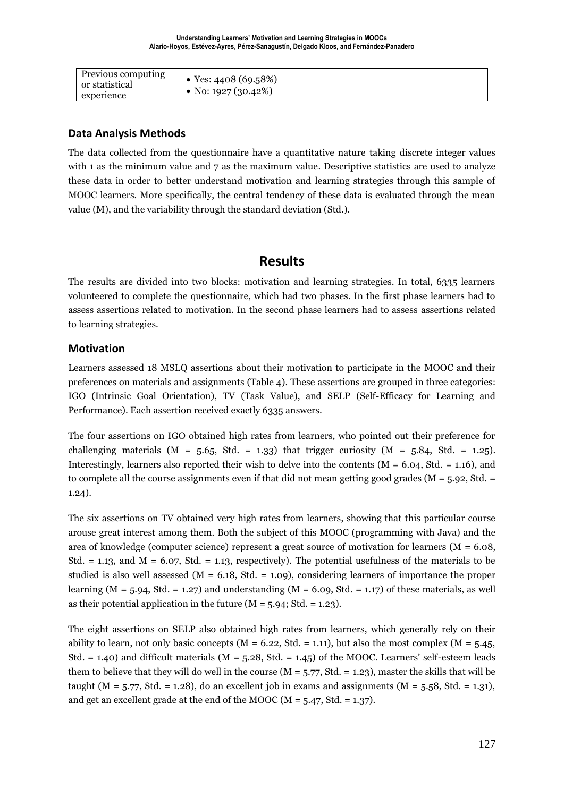| Previous computing<br>or statistical<br>experience | • Yes: $4408(69.58%)$<br>• No: 1927 (30.42%) |
|----------------------------------------------------|----------------------------------------------|
|                                                    |                                              |

#### **Data Analysis Methods**

The data collected from the questionnaire have a quantitative nature taking discrete integer values with 1 as the minimum value and 7 as the maximum value. Descriptive statistics are used to analyze these data in order to better understand motivation and learning strategies through this sample of MOOC learners. More specifically, the central tendency of these data is evaluated through the mean value (M), and the variability through the standard deviation (Std.).

### **Results**

The results are divided into two blocks: motivation and learning strategies. In total, 6335 learners volunteered to complete the questionnaire, which had two phases. In the first phase learners had to assess assertions related to motivation. In the second phase learners had to assess assertions related to learning strategies.

#### **Motivation**

Learners assessed 18 MSLQ assertions about their motivation to participate in the MOOC and their preferences on materials and assignments (Table 4). These assertions are grouped in three categories: IGO (Intrinsic Goal Orientation), TV (Task Value), and SELP (Self-Efficacy for Learning and Performance). Each assertion received exactly 6335 answers.

The four assertions on IGO obtained high rates from learners, who pointed out their preference for challenging materials ( $M = 5.65$ , Std. = 1.33) that trigger curiosity ( $M = 5.84$ , Std. = 1.25). Interestingly, learners also reported their wish to delve into the contents  $(M = 6.04, Std. = 1.16)$ , and to complete all the course assignments even if that did not mean getting good grades ( $M = 5.92$ , Std.  $=$ 1.24).

The six assertions on TV obtained very high rates from learners, showing that this particular course arouse great interest among them. Both the subject of this MOOC (programming with Java) and the area of knowledge (computer science) represent a great source of motivation for learners ( $M = 6.08$ , Std.  $= 1.13$ , and M  $= 6.07$ , Std.  $= 1.13$ , respectively). The potential usefulness of the materials to be studied is also well assessed  $(M = 6.18, Std. = 1.09)$ , considering learners of importance the proper learning ( $M = 5.94$ , Std. = 1.27) and understanding ( $M = 6.09$ , Std. = 1.17) of these materials, as well as their potential application in the future  $(M = 5.94; Std = 1.23)$ .

The eight assertions on SELP also obtained high rates from learners, which generally rely on their ability to learn, not only basic concepts ( $M = 6.22$ , Std. = 1.11), but also the most complex ( $M = 5.45$ , Std.  $= 1.40$ ) and difficult materials ( $M = 5.28$ , Std.  $= 1.45$ ) of the MOOC. Learners' self-esteem leads them to believe that they will do well in the course  $(M = 5.77, Std = 1.23)$ , master the skills that will be taught ( $M = 5.77$ , Std. = 1.28), do an excellent job in exams and assignments ( $M = 5.58$ , Std. = 1.31), and get an excellent grade at the end of the MOOC ( $M = 5.47$ , Std. = 1.37).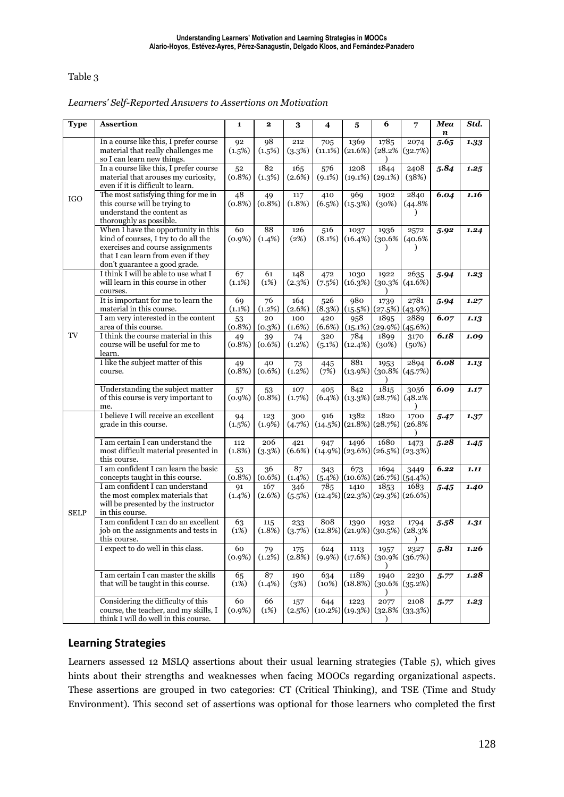#### Table 3

*Learners' Self-Reported Answers to Assertions on Motivation*

| <b>Type</b> | <b>Assertion</b>                                                                                                                                                                       | 1                | 2                | 3                | 4                | 5                             | 6                           | 7                               | Mea<br>n | Std. |
|-------------|----------------------------------------------------------------------------------------------------------------------------------------------------------------------------------------|------------------|------------------|------------------|------------------|-------------------------------|-----------------------------|---------------------------------|----------|------|
|             | In a course like this, I prefer course<br>material that really challenges me<br>so I can learn new things.                                                                             | 92<br>(1.5%)     | 98<br>(1.5%)     | 212<br>(3.3%)    | 705<br>(11.1%)   | 1369<br>(21.6%)               | 1785<br>(28.2%              | 2074<br>(32.7%)                 | 5.65     | 1.33 |
| <b>IGO</b>  | In a course like this, I prefer course<br>material that arouses my curiosity,<br>even if it is difficult to learn.                                                                     | 52<br>$(0.8\%)$  | 82<br>(1.3%)     | 165<br>$(2.6\%)$ | 576<br>$(9.1\%)$ | 1208<br>(19.1%)               | 1844<br>(29.1%)             | 2408<br>(38%)                   | 5.84     | 1.25 |
|             | The most satisfying thing for me in<br>this course will be trying to<br>understand the content as<br>thoroughly as possible.                                                           | 48<br>(0.8%)     | 49<br>(0.8%)     | 117<br>$(1.8\%)$ | 410<br>(6.5%)    | 969<br>(15.3%)                | 1902<br>(30%)               | 2840<br>(44.8%                  | 6.04     | 1.16 |
|             | When I have the opportunity in this<br>kind of courses, I try to do all the<br>exercises and course assignments<br>that I can learn from even if they<br>don't guarantee a good grade. | 60<br>$(0.9\%)$  | 88<br>(1.4%)     | 126<br>(2%)      | 516<br>$(8.1\%)$ | 1037<br>$(16.4\%)$            | 1936<br>(30.6%<br>$\lambda$ | 2572<br>(40.6%<br>$\lambda$     | 5.92     | 1.24 |
|             | I think I will be able to use what I<br>will learn in this course in other<br>courses.                                                                                                 | 67<br>$(1.1\%)$  | 61<br>(1%)       | 148<br>(2.3%)    | 472<br>(7.5%)    | 1030<br>(16.3%)               | 1922<br>(30.3%              | 2635<br>$(41.6\%)$              | 5.94     | 1.23 |
|             | It is important for me to learn the<br>material in this course.                                                                                                                        | 69<br>(1.1%)     | 76<br>(1.2%)     | 164<br>$(2.6\%)$ | 526<br>(8.3%)    | 980<br>(15.5%)                | 1739                        | 2781<br>(27.5%) (43.9%)         | 5.94     | 1.27 |
|             | I am very interested in the content<br>area of this course.                                                                                                                            | 53<br>(0.8%)     | 20<br>(0.3%)     | 100<br>(1.6%)    | 420<br>(6.6%)    | 958<br>(15.1%)                | 1895                        | 2889<br>(29.9%) (45.6%)         | 6.07     | 1.13 |
| TV          | I think the course material in this<br>course will be useful for me to<br>learn.                                                                                                       | 49<br>$(0.8\%)$  | 39<br>$(0.6\%)$  | 74<br>$(1.2\%)$  | 320<br>(5.1%)    | 784<br>(12.4%)                | 1899<br>(30%)               | 3170<br>(50%)                   | 6.18     | 1.09 |
|             | I like the subject matter of this<br>course.                                                                                                                                           | 49<br>$(0.8\%)$  | 40<br>$(0.6\%)$  | 73<br>$(1.2\%)$  | 445<br>(7%)      | 881<br>(13.9%)                | 1953<br>$(30.8\%$           | 2894<br>(45.7%)                 | 6.08     | 1.13 |
|             | Understanding the subject matter<br>of this course is very important to<br>me.                                                                                                         | 57<br>$(0.9\%)$  | 53<br>(0.8%)     | 107<br>(1.7%)    | 405<br>$(6.4\%)$ | 842<br>(13.3%)                | 1815<br>(28.7%)             | 3056<br>(48.2%                  | 6.09     | 1.17 |
|             | I believe I will receive an excellent<br>grade in this course.                                                                                                                         | 94<br>(1.5%)     | 123<br>(1.9%)    | 300<br>(4.7%)    | 916              | 1382<br>$(14.5\%)$ (21.8%)    | 1820<br>(28.7%)             | 1700<br>(26.8%                  | 5.47     | 1.37 |
|             | I am certain I can understand the<br>most difficult material presented in<br>this course.                                                                                              | 112<br>$(1.8\%)$ | 206<br>(3.3%)    | 421<br>$(6.6\%)$ | 947              | 1496<br>$(14.9\%)$ (23.6%)    | 1680                        | 1473<br>$(26.5\%)$ (23.3%)      | 5.28     | 1.45 |
|             | I am confident I can learn the basic<br>concepts taught in this course.                                                                                                                | 53<br>$(0.8\%)$  | 36<br>$(0.6\%)$  | 87<br>$(1.4\%)$  | 343              | 673<br>$(5.4\%)$ $(10.6\%)$   | 1694                        | 3449<br>$(26.7%)$ (54.4%)       | 6.22     | 1.11 |
| <b>SELP</b> | I am confident I can understand<br>the most complex materials that<br>will be presented by the instructor<br>in this course.                                                           | 91<br>$(1.4\%)$  | 167<br>$(2.6\%)$ | 346<br>(5.5%)    | 785              | 1410<br>$(12.4\%)$ (22.3%)    | 1853                        | 1683<br>$(29.3%)$ (26.6%)       | 5.45     | 1.40 |
|             | I am confident I can do an excellent<br>job on the assignments and tests in<br>this course.                                                                                            | 63<br>(1%)       | 115<br>$(1.8\%)$ | 233<br>(3.7%)    | 808              | 1390<br>$(12.8\%)$ $(21.9\%)$ | 1932<br>(30.5%)             | 1794<br>(28.3%<br>$\mathcal{Y}$ | 5.58     | 1.31 |
|             | I expect to do well in this class.                                                                                                                                                     | 60<br>$(0.9\%)$  | 79<br>$(1.2\%)$  | 175<br>$(2.8\%)$ | 624<br>$(9.9\%)$ | 1113<br>(17.6%)               | 1957<br>$(30.9\%$           | 2327<br>(36.7%)                 | 5.81     | 1.26 |
|             | I am certain I can master the skills<br>that will be taught in this course.                                                                                                            | 65<br>(1%)       | 87<br>(1.4%)     | 190<br>(3%)      | 634<br>(10%)     | 1189<br>(18.8%)               | 1940                        | 2230<br>$(30.6\%)(35.2\%)$      | 5.77     | 1.28 |
|             | Considering the difficulty of this<br>course, the teacher, and my skills, I<br>think I will do well in this course.                                                                    | 60<br>$(0.9\%)$  | 66<br>(1%)       | 157<br>(2.5%)    | 644              | 1223<br>$(10.2\%)$ $(19.3\%)$ | 2077                        | 2108<br>$(32.8\%)(33.3\%)$      | 5.77     | 1.23 |

#### **Learning Strategies**

Learners assessed 12 MSLQ assertions about their usual learning strategies (Table 5), which gives hints about their strengths and weaknesses when facing MOOCs regarding organizational aspects. These assertions are grouped in two categories: CT (Critical Thinking), and TSE (Time and Study Environment). This second set of assertions was optional for those learners who completed the first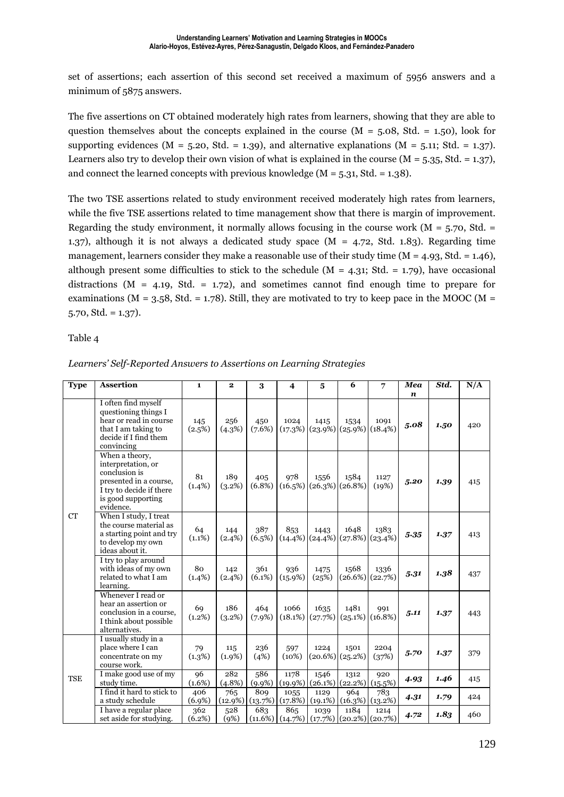set of assertions; each assertion of this second set received a maximum of 5956 answers and a minimum of 5875 answers.

The five assertions on CT obtained moderately high rates from learners, showing that they are able to question themselves about the concepts explained in the course  $(M = 5.08, Std. = 1.50)$ , look for supporting evidences ( $M = 5.20$ , Std. = 1.39), and alternative explanations ( $M = 5.11$ ; Std. = 1.37). Learners also try to develop their own vision of what is explained in the course  $(M = 5.35, Std. = 1.37)$ , and connect the learned concepts with previous knowledge ( $M = 5.31$ , Std. = 1.38).

The two TSE assertions related to study environment received moderately high rates from learners, while the five TSE assertions related to time management show that there is margin of improvement. Regarding the study environment, it normally allows focusing in the course work ( $M = 5.70$ , Std. = 1.37), although it is not always a dedicated study space (M = 4.72, Std. 1.83). Regarding time management, learners consider they make a reasonable use of their study time  $(M = 4.93, \text{Std.} = 1.46)$ , although present some difficulties to stick to the schedule ( $M = 4.31$ ; Std. = 1.79), have occasional distractions ( $M = 4.19$ , Std. = 1.72), and sometimes cannot find enough time to prepare for examinations ( $M = 3.58$ , Std. = 1.78). Still, they are motivated to try to keep pace in the MOOC ( $M =$  $5.70, \text{Std.} = 1.37$ .

Table 4

| <b>Type</b> | <b>Assertion</b>                                                                                                                               | $\mathbf{1}$     | $\mathbf{2}$      | 3                 | 4                  | 5                       | 6                          | 7                             | Mea<br>$\boldsymbol{n}$ | Std. | N/A |
|-------------|------------------------------------------------------------------------------------------------------------------------------------------------|------------------|-------------------|-------------------|--------------------|-------------------------|----------------------------|-------------------------------|-------------------------|------|-----|
| <b>CT</b>   | I often find myself<br>questioning things I<br>hear or read in course<br>that I am taking to<br>decide if I find them<br>convincing            | 145<br>(2.5%)    | 256<br>(4.3%)     | 450<br>(7.6%)     | 1024<br>(17.3%)    | 1415<br>(23.9%)         | 1534<br>$(25.9\%)$ (18.4%) | 1091                          | 5.08                    | 1.50 | 420 |
|             | When a theory,<br>interpretation, or<br>conclusion is<br>presented in a course.<br>I try to decide if there<br>is good supporting<br>evidence. | 81<br>$(1.4\%)$  | 189<br>$(3.2\%)$  | 405<br>$(6.8\%)$  | 978<br>$(16.5\%)$  | 1556<br>(26.3%)         | 1584<br>$(26.8\%)$         | 1127<br>(19%)                 | 5.20                    | 1.39 | 415 |
|             | When I study, I treat<br>the course material as<br>a starting point and try<br>to develop my own<br>ideas about it.                            | 64<br>$(1.1\%)$  | 144<br>(2.4%)     | 387<br>$(6.5\%)$  | 853<br>$(14.4\%)$  | 1443<br>(24.4%)         | 1648<br>$(27.8\%)$ (23.4%) | 1383                          | 5.35                    | 1.37 | 413 |
|             | I try to play around<br>with ideas of my own<br>related to what I am<br>learning.                                                              | 80<br>$(1.4\%)$  | 142<br>$(2.4\%)$  | 361<br>$(6.1\%)$  | 936<br>(15.9%)     | 1475<br>(25%)           | 1568                       | 1336<br>$(26.6\%)$ $(22.7\%)$ | 5.31                    | 1.38 | 437 |
|             | Whenever I read or<br>hear an assertion or<br>conclusion in a course,<br>I think about possible<br>alternatives.                               | 69<br>(1.2%)     | 186<br>(3.2%)     | 464<br>$(7.9\%)$  | 1066<br>(18.1%)    | 1635<br>(27.7%)         | 1481                       | 991<br>$(25.1\%)$ (16.8%)     | 5.11                    | 1.37 | 443 |
| <b>TSE</b>  | I usually study in a<br>place where I can<br>concentrate on my<br>course work.                                                                 | 79<br>(1.3%)     | 115<br>(1.9%)     | 236<br>(4%)       | 597<br>(10%)       | 1224<br>(20.6%)         | 1501<br>(25.2%)            | 2204<br>(37%)                 | 5.70                    | 1.37 | 379 |
|             | I make good use of my<br>study time.                                                                                                           | 96<br>$(1.6\%)$  | 282<br>$(4.8\%)$  | 586<br>$(9.9\%)$  | 1178<br>$(19.9\%)$ | 1546<br>$(26.1\%)$      | 1312<br>(22.2%)            | 920<br>(15.5%)                | 4.93                    | 1.46 | 415 |
|             | I find it hard to stick to<br>a study schedule                                                                                                 | 406<br>$(6.9\%)$ | 765<br>$(12.9\%)$ | 809<br>(13.7%)    | 1055<br>(17.8%)    | 1129<br>$(19.1\%)$      | 964                        | 783<br>$(16.3\%)$ $(13.2\%)$  | 4.31                    | 1.79 | 424 |
|             | I have a regular place<br>set aside for studying.                                                                                              | 362<br>(6.2%)    | 528<br>(9%)       | 683<br>$(11.6\%)$ | 865                | 1039<br>(14.7%) (17.7%) | 1184                       | 1214<br>$(20.2\%)$ (20.7%)    | 4.72                    | 1.83 | 460 |

*Learners' Self-Reported Answers to Assertions on Learning Strategies*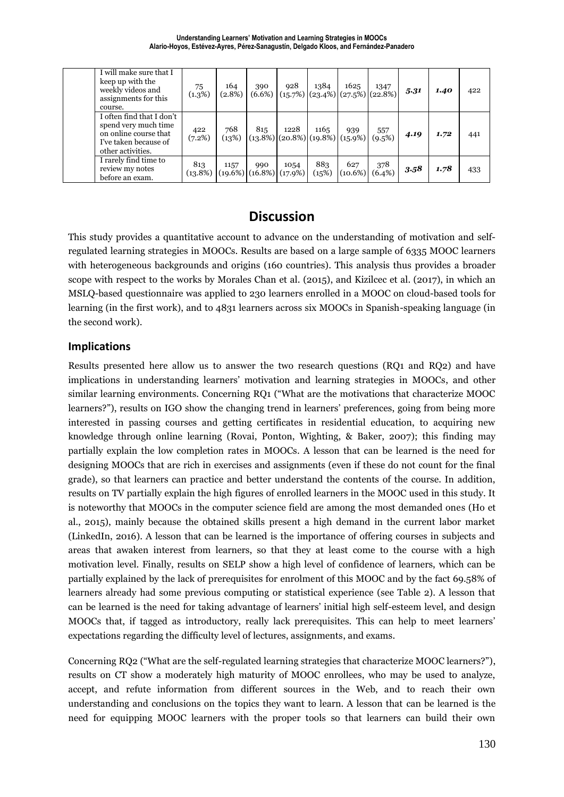| I will make sure that I<br>keep up with the<br>weekly videos and<br>assignments for this<br>course.                      | 75<br>(1.3%)  | 164<br>$(2.8\%)$                                    | 390<br>$(6.6\%)$ | 928                                      | 1384         | 1625<br>$(15.7%)$ $(23.4%)$ $(27.5%)$ $(22.8%)$ | 1347             | 5.31 | 1.40 | 422 |
|--------------------------------------------------------------------------------------------------------------------------|---------------|-----------------------------------------------------|------------------|------------------------------------------|--------------|-------------------------------------------------|------------------|------|------|-----|
| I often find that I don't<br>spend very much time<br>on online course that<br>I've taken because of<br>other activities. | 422<br>(7.2%) | 768<br>(13%)                                        | 815              | 1228<br>$(13.8\%)$ $(20.8\%)$ $(19.8\%)$ | 1165         | 939<br>$(15.9\%)$                               | 557<br>(9.5%)    | 4.19 | 1.72 | 441 |
| I rarely find time to<br>review my notes<br>before an exam.                                                              | 813           | 1157<br>$(13.8\%)$ $(19.6\%)$ $(16.8\%)$ $(17.9\%)$ | 990              | 1054                                     | 883<br>(15%) | 627<br>$(10.6\%)$                               | 378<br>$(6.4\%)$ | 3.58 | 1.78 | 433 |

# **Discussion**

This study provides a quantitative account to advance on the understanding of motivation and selfregulated learning strategies in MOOCs. Results are based on a large sample of 6335 MOOC learners with heterogeneous backgrounds and origins (160 countries). This analysis thus provides a broader scope with respect to the works by Morales Chan et al. (2015), and Kizilcec et al. (2017), in which an MSLQ-based questionnaire was applied to 230 learners enrolled in a MOOC on cloud-based tools for learning (in the first work), and to 4831 learners across six MOOCs in Spanish-speaking language (in the second work).

#### **Implications**

Results presented here allow us to answer the two research questions (RQ1 and RQ2) and have implications in understanding learners' motivation and learning strategies in MOOCs, and other similar learning environments. Concerning RQ1 ("What are the motivations that characterize MOOC learners?"), results on IGO show the changing trend in learners' preferences, going from being more interested in passing courses and getting certificates in residential education, to acquiring new knowledge through online learning (Rovai, Ponton, Wighting, & Baker, 2007); this finding may partially explain the low completion rates in MOOCs. A lesson that can be learned is the need for designing MOOCs that are rich in exercises and assignments (even if these do not count for the final grade), so that learners can practice and better understand the contents of the course. In addition, results on TV partially explain the high figures of enrolled learners in the MOOC used in this study. It is noteworthy that MOOCs in the computer science field are among the most demanded ones (Ho et al., 2015), mainly because the obtained skills present a high demand in the current labor market (LinkedIn, 2016). A lesson that can be learned is the importance of offering courses in subjects and areas that awaken interest from learners, so that they at least come to the course with a high motivation level. Finally, results on SELP show a high level of confidence of learners, which can be partially explained by the lack of prerequisites for enrolment of this MOOC and by the fact 69.58% of learners already had some previous computing or statistical experience (see Table 2). A lesson that can be learned is the need for taking advantage of learners' initial high self-esteem level, and design MOOCs that, if tagged as introductory, really lack prerequisites. This can help to meet learners' expectations regarding the difficulty level of lectures, assignments, and exams.

Concerning RQ2 ("What are the self-regulated learning strategies that characterize MOOC learners?"), results on CT show a moderately high maturity of MOOC enrollees, who may be used to analyze, accept, and refute information from different sources in the Web, and to reach their own understanding and conclusions on the topics they want to learn. A lesson that can be learned is the need for equipping MOOC learners with the proper tools so that learners can build their own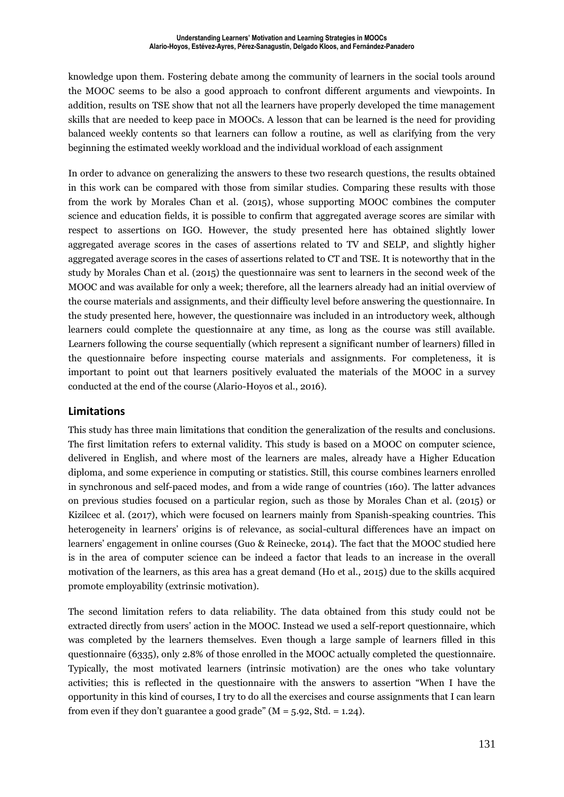knowledge upon them. Fostering debate among the community of learners in the social tools around the MOOC seems to be also a good approach to confront different arguments and viewpoints. In addition, results on TSE show that not all the learners have properly developed the time management skills that are needed to keep pace in MOOCs. A lesson that can be learned is the need for providing balanced weekly contents so that learners can follow a routine, as well as clarifying from the very beginning the estimated weekly workload and the individual workload of each assignment

In order to advance on generalizing the answers to these two research questions, the results obtained in this work can be compared with those from similar studies. Comparing these results with those from the work by Morales Chan et al. (2015), whose supporting MOOC combines the computer science and education fields, it is possible to confirm that aggregated average scores are similar with respect to assertions on IGO. However, the study presented here has obtained slightly lower aggregated average scores in the cases of assertions related to TV and SELP, and slightly higher aggregated average scores in the cases of assertions related to CT and TSE. It is noteworthy that in the study by Morales Chan et al. (2015) the questionnaire was sent to learners in the second week of the MOOC and was available for only a week; therefore, all the learners already had an initial overview of the course materials and assignments, and their difficulty level before answering the questionnaire. In the study presented here, however, the questionnaire was included in an introductory week, although learners could complete the questionnaire at any time, as long as the course was still available. Learners following the course sequentially (which represent a significant number of learners) filled in the questionnaire before inspecting course materials and assignments. For completeness, it is important to point out that learners positively evaluated the materials of the MOOC in a survey conducted at the end of the course (Alario-Hoyos et al., 2016).

#### **Limitations**

This study has three main limitations that condition the generalization of the results and conclusions. The first limitation refers to external validity. This study is based on a MOOC on computer science, delivered in English, and where most of the learners are males, already have a Higher Education diploma, and some experience in computing or statistics. Still, this course combines learners enrolled in synchronous and self-paced modes, and from a wide range of countries (160). The latter advances on previous studies focused on a particular region, such as those by Morales Chan et al. (2015) or Kizilcec et al. (2017), which were focused on learners mainly from Spanish-speaking countries. This heterogeneity in learners' origins is of relevance, as social-cultural differences have an impact on learners' engagement in online courses (Guo & Reinecke, 2014). The fact that the MOOC studied here is in the area of computer science can be indeed a factor that leads to an increase in the overall motivation of the learners, as this area has a great demand (Ho et al., 2015) due to the skills acquired promote employability (extrinsic motivation).

The second limitation refers to data reliability. The data obtained from this study could not be extracted directly from users' action in the MOOC. Instead we used a self-report questionnaire, which was completed by the learners themselves. Even though a large sample of learners filled in this questionnaire (6335), only 2.8% of those enrolled in the MOOC actually completed the questionnaire. Typically, the most motivated learners (intrinsic motivation) are the ones who take voluntary activities; this is reflected in the questionnaire with the answers to assertion "When I have the opportunity in this kind of courses, I try to do all the exercises and course assignments that I can learn from even if they don't guarantee a good grade" ( $M = 5.92$ , Std. = 1.24).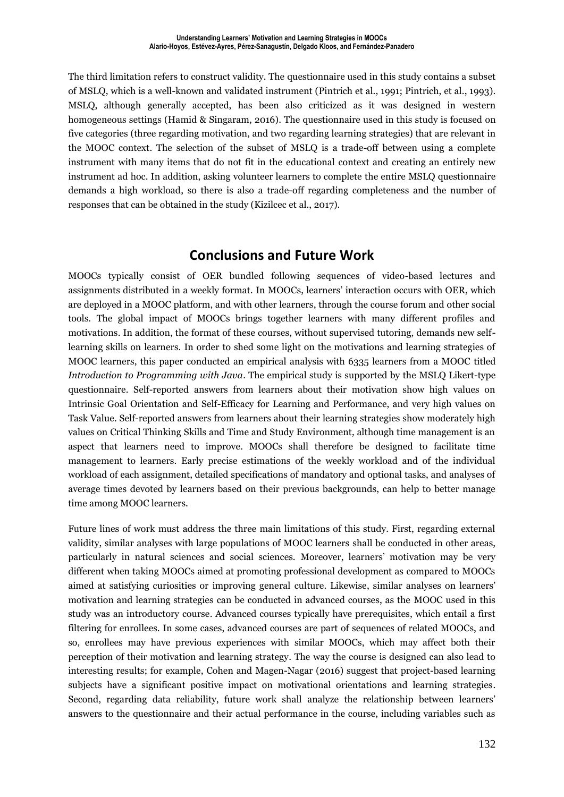The third limitation refers to construct validity. The questionnaire used in this study contains a subset of MSLQ, which is a well-known and validated instrument (Pintrich et al., 1991; Pintrich, et al., 1993). MSLQ, although generally accepted, has been also criticized as it was designed in western homogeneous settings (Hamid & Singaram, 2016). The questionnaire used in this study is focused on five categories (three regarding motivation, and two regarding learning strategies) that are relevant in the MOOC context. The selection of the subset of MSLQ is a trade-off between using a complete instrument with many items that do not fit in the educational context and creating an entirely new instrument ad hoc. In addition, asking volunteer learners to complete the entire MSLQ questionnaire demands a high workload, so there is also a trade-off regarding completeness and the number of responses that can be obtained in the study (Kizilcec et al., 2017).

### **Conclusions and Future Work**

MOOCs typically consist of OER bundled following sequences of video-based lectures and assignments distributed in a weekly format. In MOOCs, learners' interaction occurs with OER, which are deployed in a MOOC platform, and with other learners, through the course forum and other social tools. The global impact of MOOCs brings together learners with many different profiles and motivations. In addition, the format of these courses, without supervised tutoring, demands new selflearning skills on learners. In order to shed some light on the motivations and learning strategies of MOOC learners, this paper conducted an empirical analysis with 6335 learners from a MOOC titled *Introduction to Programming with Java*. The empirical study is supported by the MSLQ Likert-type questionnaire. Self-reported answers from learners about their motivation show high values on Intrinsic Goal Orientation and Self-Efficacy for Learning and Performance, and very high values on Task Value. Self-reported answers from learners about their learning strategies show moderately high values on Critical Thinking Skills and Time and Study Environment, although time management is an aspect that learners need to improve. MOOCs shall therefore be designed to facilitate time management to learners. Early precise estimations of the weekly workload and of the individual workload of each assignment, detailed specifications of mandatory and optional tasks, and analyses of average times devoted by learners based on their previous backgrounds, can help to better manage time among MOOC learners.

Future lines of work must address the three main limitations of this study. First, regarding external validity, similar analyses with large populations of MOOC learners shall be conducted in other areas, particularly in natural sciences and social sciences. Moreover, learners' motivation may be very different when taking MOOCs aimed at promoting professional development as compared to MOOCs aimed at satisfying curiosities or improving general culture. Likewise, similar analyses on learners' motivation and learning strategies can be conducted in advanced courses, as the MOOC used in this study was an introductory course. Advanced courses typically have prerequisites, which entail a first filtering for enrollees. In some cases, advanced courses are part of sequences of related MOOCs, and so, enrollees may have previous experiences with similar MOOCs, which may affect both their perception of their motivation and learning strategy. The way the course is designed can also lead to interesting results; for example, Cohen and Magen-Nagar (2016) suggest that project-based learning subjects have a significant positive impact on motivational orientations and learning strategies. Second, regarding data reliability, future work shall analyze the relationship between learners' answers to the questionnaire and their actual performance in the course, including variables such as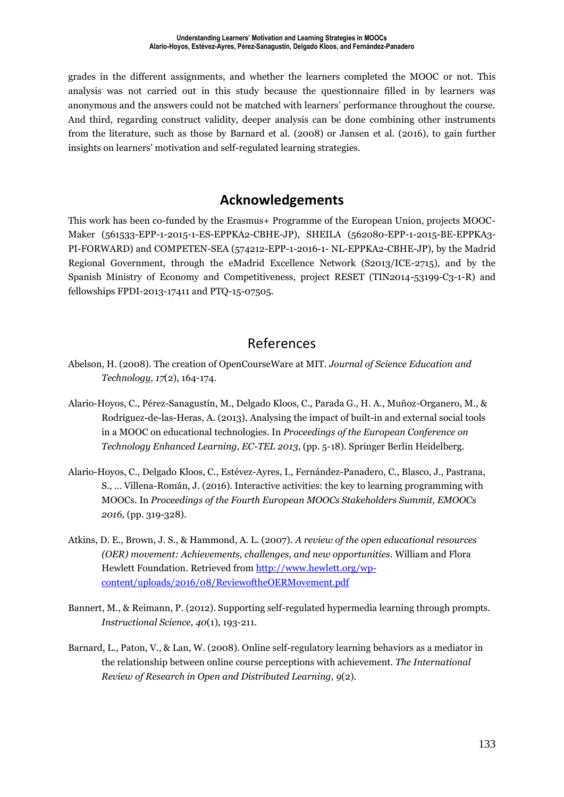grades in the different assignments, and whether the learners completed the MOOC or not. This analysis was not carried out in this study because the questionnaire filled in by learners was anonymous and the answers could not be matched with learners' performance throughout the course. And third, regarding construct validity, deeper analysis can be done combining other instruments from the literature, such as those by Barnard et al. (2008) or Jansen et al. (2016), to gain further insights on learners' motivation and self-regulated learning strategies.

## **Acknowledgements**

This work has been co-funded by the Erasmus+ Programme of the European Union, projects MOOC-Maker (561533-EPP-1-2015-1-ES-EPPKA2-CBHE-JP), SHEILA (562080-EPP-1-2015-BE-EPPKA3- PI-FORWARD) and COMPETEN-SEA (574212-EPP-1-2016-1- NL-EPPKA2-CBHE-JP), by the Madrid Regional Government, through the eMadrid Excellence Network (S2013/ICE-2715), and by the Spanish Ministry of Economy and Competitiveness, project RESET (TIN2014-53199-C3-1-R) and fellowships FPDI-2013-17411 and PTQ-15-07505.

### References

- Abelson, H. (2008). The creation of OpenCourseWare at MIT. *Journal of Science Education and Technology, 17*(2), 164-174.
- Alario-Hoyos, C., Pérez-Sanagustín, M., Delgado Kloos, C., Parada G., H. A., Muñoz-Organero, M., & Rodríguez-de-las-Heras, A. (2013). Analysing the impact of built-in and external social tools in a MOOC on educational technologies. In *Proceedings of the European Conference on Technology Enhanced Learning, EC-TEL 2013*, (pp. 5-18). Springer Berlin Heidelberg.
- Alario-Hoyos, C., Delgado Kloos, C., Estévez-Ayres, I., Fernández-Panadero, C., Blasco, J., Pastrana, S., … Villena-Román, J. (2016). Interactive activities: the key to learning programming with MOOCs. In *Proceedings of the Fourth European MOOCs Stakeholders Summit, EMOOCs 2016,* (pp. 319-328).
- Atkins, D. E., Brown, J. S., & Hammond, A. L. (2007). *A review of the open educational resources (OER) movement: Achievements, challenges, and new opportunities.* William and Flora Hewlett Foundation. Retrieved from [http://www.hewlett.org/wp](http://www.hewlett.org/wp-content/uploads/2016/08/ReviewoftheOERMovement.pdf)[content/uploads/2016/08/ReviewoftheOERMovement.pdf](http://www.hewlett.org/wp-content/uploads/2016/08/ReviewoftheOERMovement.pdf)
- Bannert, M., & Reimann, P. (2012). Supporting self-regulated hypermedia learning through prompts. *Instructional Science, 40*(1), 193-211.
- Barnard, L., Paton, V., & Lan, W. (2008). Online self-regulatory learning behaviors as a mediator in the relationship between online course perceptions with achievement. *The International Review of Research in Open and Distributed Learning, 9*(2).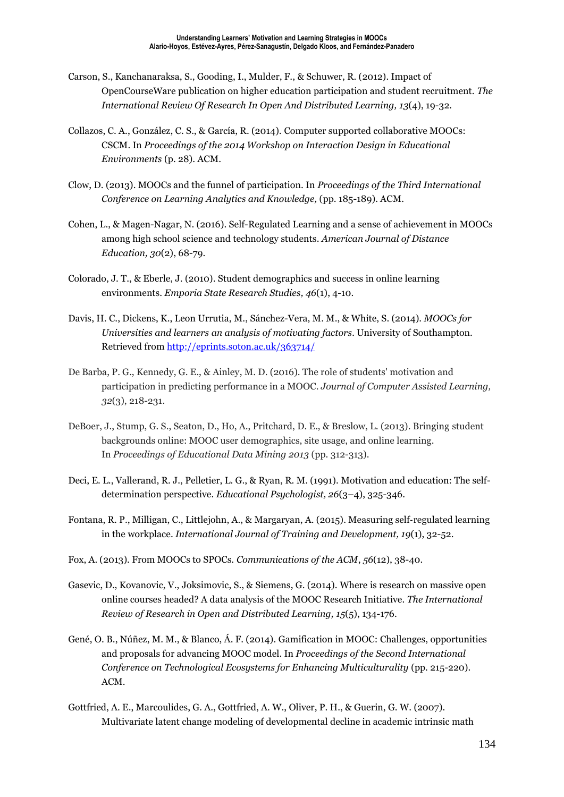- Carson, S., Kanchanaraksa, S., Gooding, I., Mulder, F., & Schuwer, R. (2012). Impact of OpenCourseWare publication on higher education participation and student recruitment. *The International Review Of Research In Open And Distributed Learning, 13*(4), 19-32.
- Collazos, C. A., González, C. S., & García, R. (2014). Computer supported collaborative MOOCs: CSCM. In *Proceedings of the 2014 Workshop on Interaction Design in Educational Environments* (p. 28). ACM.
- Clow, D. (2013). MOOCs and the funnel of participation. In *Proceedings of the Third International Conference on Learning Analytics and Knowledge,* (pp. 185-189). ACM.
- Cohen, L., & Magen-Nagar, N. (2016). Self-Regulated Learning and a sense of achievement in MOOCs among high school science and technology students. *American Journal of Distance Education, 30*(2), 68-79.
- Colorado, J. T., & Eberle, J. (2010). Student demographics and success in online learning environments. *Emporia State Research Studies, 46*(1), 4-10.
- Davis, H. C., Dickens, K., Leon Urrutia, M., Sánchez-Vera, M. M., & White, S. (2014). *MOOCs for Universities and learners an analysis of motivating factors.* University of Southampton. Retrieved from <http://eprints.soton.ac.uk/363714/>
- De Barba, P. G., Kennedy, G. E., & Ainley, M. D. (2016). The role of students' motivation and participation in predicting performance in a MOOC. *Journal of Computer Assisted Learning, 32*(3), 218-231.
- DeBoer, J., Stump, G. S., Seaton, D., Ho, A., Pritchard, D. E., & Breslow, L. (2013). Bringing student backgrounds online: MOOC user demographics, site usage, and online learning. In *Proceedings of Educational Data Mining 2013* (pp. 312-313).
- Deci, E. L., Vallerand, R. J., Pelletier, L. G., & Ryan, R. M. (1991). Motivation and education: The selfdetermination perspective. *Educational Psychologist, 26*(3–4), 325-346.
- Fontana, R. P., Milligan, C., Littlejohn, A., & Margaryan, A. (2015). Measuring self‐regulated learning in the workplace. *International Journal of Training and Development, 19*(1), 32-52.
- Fox, A. (2013). From MOOCs to SPOCs. *Communications of the ACM*, *56*(12), 38-40.
- Gasevic, D., Kovanovic, V., Joksimovic, S., & Siemens, G. (2014). Where is research on massive open online courses headed? A data analysis of the MOOC Research Initiative. *The International Review of Research in Open and Distributed Learning, 15*(5), 134-176.
- Gené, O. B., Núñez, M. M., & Blanco, Á. F. (2014). Gamification in MOOC: Challenges, opportunities and proposals for advancing MOOC model. In *Proceedings of the Second International Conference on Technological Ecosystems for Enhancing Multiculturality* (pp. 215-220). ACM.
- Gottfried, A. E., Marcoulides, G. A., Gottfried, A. W., Oliver, P. H., & Guerin, G. W. (2007). Multivariate latent change modeling of developmental decline in academic intrinsic math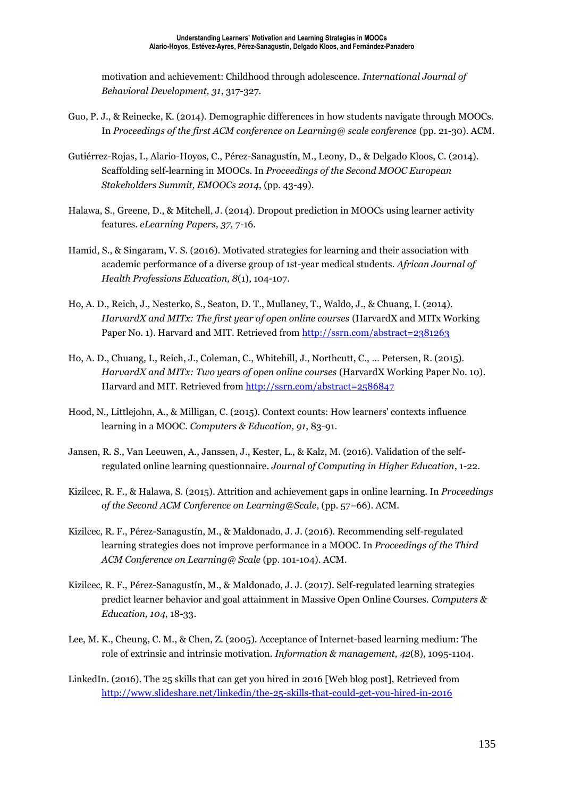motivation and achievement: Childhood through adolescence. *International Journal of Behavioral Development, 31*, 317-327.

- Guo, P. J., & Reinecke, K. (2014). Demographic differences in how students navigate through MOOCs. In *Proceedings of the first ACM conference on Learning@ scale conference* (pp. 21-30). ACM.
- Gutiérrez-Rojas, I., Alario-Hoyos, C., Pérez-Sanagustín, M., Leony, D., & Delgado Kloos, C. (2014). Scaffolding self-learning in MOOCs. In *Proceedings of the Second MOOC European Stakeholders Summit, EMOOCs 2014*, (pp. 43-49).
- Halawa, S., Greene, D., & Mitchell, J. (2014). Dropout prediction in MOOCs using learner activity features. *eLearning Papers, 37,* 7-16.
- Hamid, S., & Singaram, V. S. (2016). Motivated strategies for learning and their association with academic performance of a diverse group of 1st-year medical students. *African Journal of Health Professions Education, 8*(1), 104-107.
- Ho, A. D., Reich, J., Nesterko, S., Seaton, D. T., Mullaney, T., Waldo, J., & Chuang, I. (2014). *HarvardX and MITx: The first year of open online courses* (HarvardX and MITx Working Paper No. 1). Harvard and MIT. Retrieved from <http://ssrn.com/abstract=2381263>
- Ho, A. D., Chuang, I., Reich, J., Coleman, C., Whitehill, J., Northcutt, C., … Petersen, R. (2015). *HarvardX and MITx: Two years of open online courses* (HarvardX Working Paper No. 10). Harvard and MIT. Retrieved from <http://ssrn.com/abstract=2586847>
- Hood, N., Littlejohn, A., & Milligan, C. (2015). Context counts: How learners' contexts influence learning in a MOOC. *Computers & Education, 91*, 83-91.
- Jansen, R. S., Van Leeuwen, A., Janssen, J., Kester, L., & Kalz, M. (2016). Validation of the selfregulated online learning questionnaire. *Journal of Computing in Higher Education*, 1-22.
- Kizilcec, R. F., & Halawa, S. (2015). Attrition and achievement gaps in online learning. In *Proceedings of the Second ACM Conference on Learning@Scale*, (pp. 57–66). ACM.
- Kizilcec, R. F., Pérez-Sanagustín, M., & Maldonado, J. J. (2016). Recommending self-regulated learning strategies does not improve performance in a MOOC. In *Proceedings of the Third ACM Conference on Learning@ Scale* (pp. 101-104). ACM.
- Kizilcec, R. F., Pérez-Sanagustín, M., & Maldonado, J. J. (2017). Self-regulated learning strategies predict learner behavior and goal attainment in Massive Open Online Courses. *Computers & Education, 104*, 18-33.
- Lee, M. K., Cheung, C. M., & Chen, Z. (2005). Acceptance of Internet-based learning medium: The role of extrinsic and intrinsic motivation. *Information & management, 42*(8), 1095-1104.
- LinkedIn. (2016). The 25 skills that can get you hired in 2016 [Web blog post]*,* Retrieved from <http://www.slideshare.net/linkedin/the-25-skills-that-could-get-you-hired-in-2016>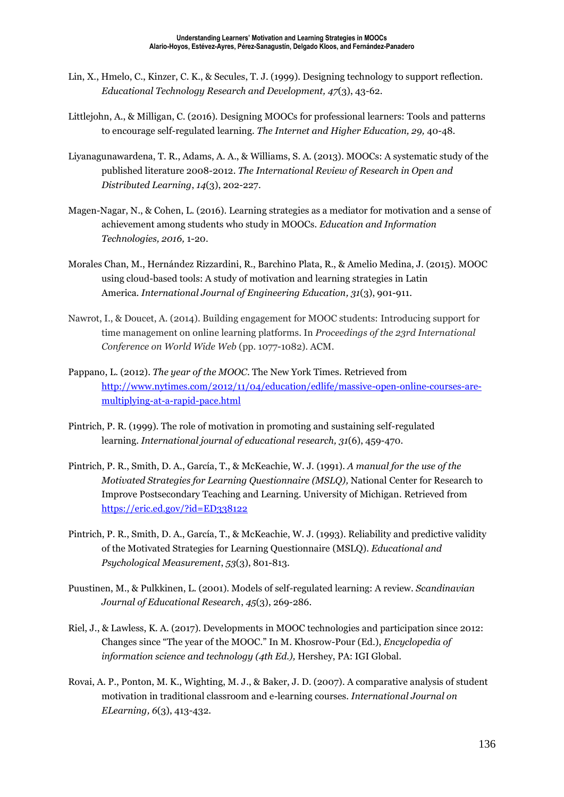- Lin, X., Hmelo, C., Kinzer, C. K., & Secules, T. J. (1999). Designing technology to support reflection. *Educational Technology Research and Development, 47*(3), 43-62.
- Littlejohn, A., & Milligan, C. (2016). Designing MOOCs for professional learners: Tools and patterns to encourage self-regulated learning. *The Internet and Higher Education, 29,* 40-48.
- Liyanagunawardena, T. R., Adams, A. A., & Williams, S. A. (2013). MOOCs: A systematic study of the published literature 2008-2012. *The International Review of Research in Open and Distributed Learning*, *14*(3), 202-227.
- Magen-Nagar, N., & Cohen, L. (2016). Learning strategies as a mediator for motivation and a sense of achievement among students who study in MOOCs. *Education and Information Technologies, 2016,* 1-20.
- Morales Chan, M., Hernández Rizzardini, R., Barchino Plata, R., & Amelio Medina, J. (2015). MOOC using cloud-based tools: A study of motivation and learning strategies in Latin America. *International Journal of Engineering Education, 31*(3), 901-911.
- Nawrot, I., & Doucet, A. (2014). Building engagement for MOOC students: Introducing support for time management on online learning platforms. In *Proceedings of the 23rd International Conference on World Wide Web* (pp. 1077-1082). ACM.
- Pappano, L. (2012). *The year of the MOOC*. The New York Times. Retrieved from [http://www.nytimes.com/2012/11/04/education/edlife/massive-open-online-courses-are](http://www.nytimes.com/2012/11/04/education/edlife/massive-open-online-courses-are-multiplying-at-a-rapid-pace.html)[multiplying-at-a-rapid-pace.html](http://www.nytimes.com/2012/11/04/education/edlife/massive-open-online-courses-are-multiplying-at-a-rapid-pace.html)
- Pintrich, P. R. (1999). The role of motivation in promoting and sustaining self-regulated learning. *International journal of educational research, 31*(6), 459-470.
- Pintrich, P. R., Smith, D. A., García, T., & McKeachie, W. J. (1991). *A manual for the use of the Motivated Strategies for Learning Questionnaire (MSLQ),* National Center for Research to Improve Postsecondary Teaching and Learning. University of Michigan. Retrieved from <https://eric.ed.gov/?id=ED338122>
- Pintrich, P. R., Smith, D. A., García, T., & McKeachie, W. J. (1993). Reliability and predictive validity of the Motivated Strategies for Learning Questionnaire (MSLQ). *Educational and Psychological Measurement*, *53*(3), 801-813.
- Puustinen, M., & Pulkkinen, L. (2001). Models of self-regulated learning: A review. *Scandinavian Journal of Educational Research*, *45*(3), 269-286.
- Riel, J., & Lawless, K. A. (2017). Developments in MOOC technologies and participation since 2012: Changes since "The year of the MOOC." In M. Khosrow-Pour (Ed.), *Encyclopedia of information science and technology (4th Ed.),* Hershey, PA: IGI Global.
- Rovai, A. P., Ponton, M. K., Wighting, M. J., & Baker, J. D. (2007). A comparative analysis of student motivation in traditional classroom and e-learning courses. *International Journal on ELearning, 6*(3), 413-432.